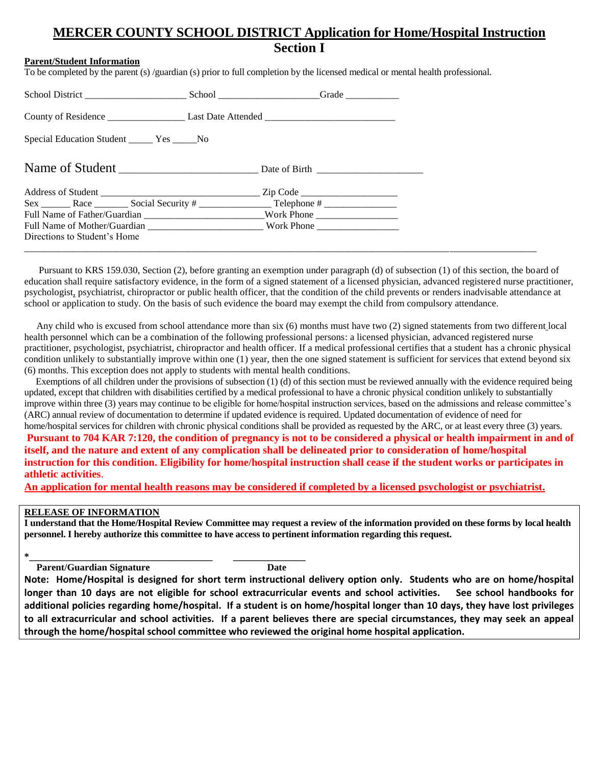# **MERCER COUNTY SCHOOL DISTRICT Application for Home/Hospital Instruction Section I**

### **Parent/Student Information**

To be completed by the parent (s) /guardian (s) prior to full completion by the licensed medical or mental health professional.

| Special Education Student ________ Yes _______No                                                                                                                                                                               |                     |
|--------------------------------------------------------------------------------------------------------------------------------------------------------------------------------------------------------------------------------|---------------------|
|                                                                                                                                                                                                                                |                     |
|                                                                                                                                                                                                                                | $\mathsf{Zip Code}$ |
|                                                                                                                                                                                                                                |                     |
| Full Name of Father/Guardian ______________________________Work Phone ______________________________                                                                                                                           |                     |
| Full Name of Mother/Guardian Northern Northern Northern Northern Northern Northern Northern Northern Northern Northern Northern Northern Northern Northern Northern Northern Northern Northern Northern Northern Northern Nort |                     |
| Directions to Student's Home                                                                                                                                                                                                   |                     |
|                                                                                                                                                                                                                                |                     |

 Pursuant to KRS 159.030, Section (2), before granting an exemption under paragraph (d) of subsection (1) of this section, the board of education shall require satisfactory evidence, in the form of a signed statement of a licensed physician, advanced registered nurse practitioner, psychologist, psychiatrist, chiropractor or public health officer, that the condition of the child prevents or renders inadvisable attendance at school or application to study. On the basis of such evidence the board may exempt the child from compulsory attendance.

 Any child who is excused from school attendance more than six (6) months must have two (2) signed statements from two different local health personnel which can be a combination of the following professional persons: a licensed physician, advanced registered nurse practitioner, psychologist, psychiatrist, chiropractor and health officer. If a medical professional certifies that a student has a chronic physical condition unlikely to substantially improve within one (1) year, then the one signed statement is sufficient for services that extend beyond six (6) months. This exception does not apply to students with mental health conditions.

 Exemptions of all children under the provisions of subsection (1) (d) of this section must be reviewed annually with the evidence required being updated, except that children with disabilities certified by a medical professional to have a chronic physical condition unlikely to substantially improve within three (3) years may continue to be eligible for home/hospital instruction services, based on the admissions and release committee's (ARC) annual review of documentation to determine if updated evidence is required. Updated documentation of evidence of need for home/hospital services for children with chronic physical conditions shall be provided as requested by the ARC, or at least every three (3) years.

**Pursuant to 704 KAR 7:120, the condition of pregnancy is not to be considered a physical or health impairment in and of itself, and the nature and extent of any complication shall be delineated prior to consideration of home/hospital instruction for this condition. Eligibility for home/hospital instruction shall cease if the student works or participates in athletic activities**.

**An application for mental health reasons may be considered if completed by a licensed psychologist or psychiatrist.**

#### **RELEASE OF INFORMATION**

**I understand that the Home/Hospital Review Committee may request a review of the information provided on these forms by local health personnel. I hereby authorize this committee to have access to pertinent information regarding this request.**

**Parent/Guardian Signature Date** 

**\*\_\_\_\_\_\_\_\_\_\_\_\_\_\_\_\_\_\_\_\_\_\_\_\_\_\_\_\_\_\_\_\_\_\_\_\_\_\_ \_\_\_\_\_\_\_\_\_\_\_\_\_\_\_**

**Note: Home/Hospital is designed for short term instructional delivery option only. Students who are on home/hospital longer than 10 days are not eligible for school extracurricular events and school activities. See school handbooks for additional policies regarding home/hospital. If a student is on home/hospital longer than 10 days, they have lost privileges to all extracurricular and school activities. If a parent believes there are special circumstances, they may seek an appeal through the home/hospital school committee who reviewed the original home hospital application.**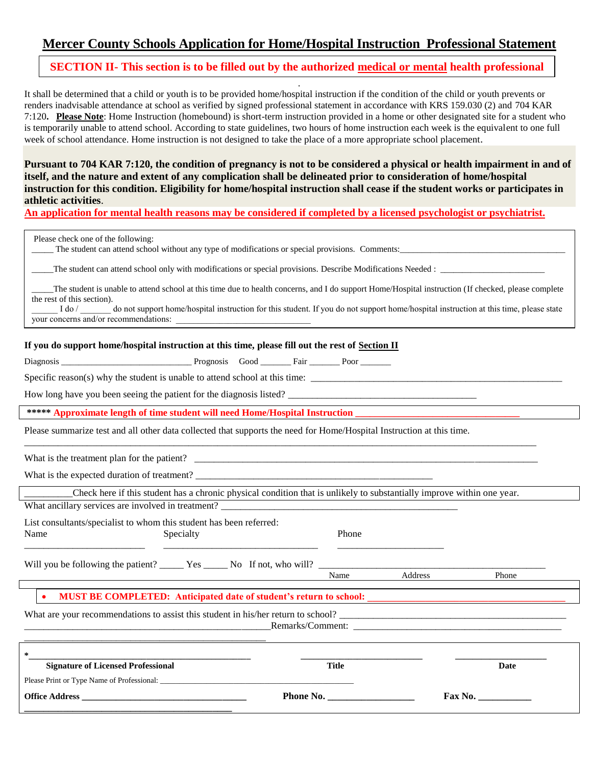## **Mercer County Schools Application for Home/Hospital Instruction Professional Statement**

### **SECTION II- This section is to be filled out by the authorized medical or mental health professional**

. It shall be determined that a child or youth is to be provided home/hospital instruction if the condition of the child or youth prevents or renders inadvisable attendance at school as verified by signed professional statement in accordance with KRS 159.030 (2) and 704 KAR 7:120**. Please Note**: Home Instruction (homebound) is short-term instruction provided in a home or other designated site for a student who is temporarily unable to attend school. According to state guidelines, two hours of home instruction each week is the equivalent to one full week of school attendance. Home instruction is not designed to take the place of a more appropriate school placement.

**Pursuant to 704 KAR 7:120, the condition of pregnancy is not to be considered a physical or health impairment in and of itself, and the nature and extent of any complication shall be delineated prior to consideration of home/hospital instruction for this condition. Eligibility for home/hospital instruction shall cease if the student works or participates in athletic activities**.

**An application for mental health reasons may be considered if completed by a licensed psychologist or psychiatrist.**

| Please check one of the following:<br>The student can attend school without any type of modifications or special provisions. Comments:<br>The student is unable to attend school at this time due to health concerns, and I do support Home/Hospital instruction (If checked, please complete<br>the rest of this section).<br>do not support home/hospital instruction for this student. If you do not support home/hospital instruction at this time, please state<br>I do $/$<br>your concerns and/or recommendations: |                  |         |       |  |  |
|---------------------------------------------------------------------------------------------------------------------------------------------------------------------------------------------------------------------------------------------------------------------------------------------------------------------------------------------------------------------------------------------------------------------------------------------------------------------------------------------------------------------------|------------------|---------|-------|--|--|
| If you do support home/hospital instruction at this time, please fill out the rest of Section II                                                                                                                                                                                                                                                                                                                                                                                                                          |                  |         |       |  |  |
|                                                                                                                                                                                                                                                                                                                                                                                                                                                                                                                           |                  |         |       |  |  |
| Specific reason(s) why the student is unable to attend school at this time:                                                                                                                                                                                                                                                                                                                                                                                                                                               |                  |         |       |  |  |
| How long have you been seeing the patient for the diagnosis listed?                                                                                                                                                                                                                                                                                                                                                                                                                                                       |                  |         |       |  |  |
| ***** Approximate length of time student will need Home/Hospital Instruction                                                                                                                                                                                                                                                                                                                                                                                                                                              |                  |         |       |  |  |
| Please summarize test and all other data collected that supports the need for Home/Hospital Instruction at this time.                                                                                                                                                                                                                                                                                                                                                                                                     |                  |         |       |  |  |
|                                                                                                                                                                                                                                                                                                                                                                                                                                                                                                                           |                  |         |       |  |  |
| Check here if this student has a chronic physical condition that is unlikely to substantially improve within one year.                                                                                                                                                                                                                                                                                                                                                                                                    |                  |         |       |  |  |
| What ancillary services are involved in treatment?                                                                                                                                                                                                                                                                                                                                                                                                                                                                        |                  |         |       |  |  |
| List consultants/specialist to whom this student has been referred:<br>Specialty<br>Name                                                                                                                                                                                                                                                                                                                                                                                                                                  | Phone            |         |       |  |  |
|                                                                                                                                                                                                                                                                                                                                                                                                                                                                                                                           |                  |         |       |  |  |
|                                                                                                                                                                                                                                                                                                                                                                                                                                                                                                                           | Name             | Address | Phone |  |  |
| <b>MUST BE COMPLETED:</b> Anticipated date of student's return to school:                                                                                                                                                                                                                                                                                                                                                                                                                                                 |                  |         |       |  |  |
| What are your recommendations to assist this student in his/her return to school?                                                                                                                                                                                                                                                                                                                                                                                                                                         |                  |         |       |  |  |
| 尖                                                                                                                                                                                                                                                                                                                                                                                                                                                                                                                         |                  |         |       |  |  |
| <b>Signature of Licensed Professional</b>                                                                                                                                                                                                                                                                                                                                                                                                                                                                                 | <b>Title</b>     |         | Date  |  |  |
|                                                                                                                                                                                                                                                                                                                                                                                                                                                                                                                           |                  |         |       |  |  |
| Office Address and the state of the state of the state of the state of the state of the state of the state of the state of the state of the state of the state of the state of the state of the state of the state of the stat                                                                                                                                                                                                                                                                                            | <b>Phone No.</b> | Fax No. |       |  |  |